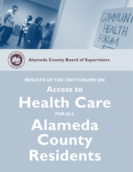



**Alameda County Board of Supervisors**

# **Results of the 2007 Forums on Access to Health Care for All Alameda County Residents**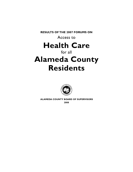**Results of the 2007 Forums on** 

Access to

# **Health Care**

# for all **Alameda County Residents**



 **Alameda County Board of Supervisors**

**2008**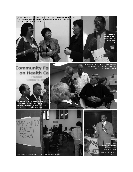**Jane Garcia**, CEO of La Clinica de La Raza, **Supervisor Alice Lai-Bitker**, and **Sherrie Lowenstein** from the California DEPT. OF MANAGED H<mark>EALTH CAR</mark>

> **Supervisor Nate Miley**  speaks at the **CHERRYLAND** forum

**Keith Carson**  addresses the audience the NORTH OAKLAND<br>.FORUM

Supervisor **Gail Steele** and staff **Lee Perez** speak to participants of the Hayward forum

Fremont October 4, 20 Ca. **Assemblymember Alberto Torrico** and **Supervisor Scott Haggerty** talk with attendees at the Fremont forum.  $HE$ FORUM Supervisor

THE COMMUNITY FORUM IN NORTH OAKLAND BEGINS

**Community For** 

on Health Car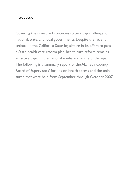### Introduction

Covering the uninsured continues to be a top challenge for national, state, and local governments. Despite the recent setback in the California State legislature in its effort to pass a State health care reform plan, health care reform remains an active topic in the national media and in the public eye. The following is a summary report of the Alameda County Board of Supervisors' forums on health access and the uninsured that were held from September through October 2007.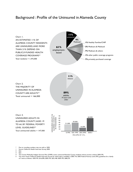### Background : Profile of the Uninsured in Alameda County



\* Due to rounding, numbers may not add to 100%.

- 2 Ibid.
- 3 Ibid.
- 4 The County Medically Indigent Services Plan (CMSP) covers uninsured Alameda County residents whose income is below 200% FPL.

Source: California Health Interview Survey, 2005.

<sup>5</sup> The most recent California Health Interview Survey for which data is available is 2005. The 2005 Federal Poverty Level (FPL) guidelines for a family of 3 were as follows: 100% FPL: \$16,090; 200% FPL: \$32,180; 300% FPL: \$48,270.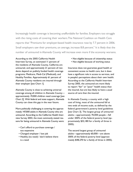Increasingly health coverage is becoming unaffordable for families. Employers too struggle with the rising costs of covering their workers.The National Coalition on Health Care reports that "Premiums for employer-based health insurance rose by 7.7 percent in 2006. Small employers saw their premiums, on average, increase 8.8 percent." It is likely that the number of uninsured in Alameda County will increase even more if the economy worsens.

According to the 2005 California Health Interview Survey, an estimated 11 percent of the residents of Alameda County, California are uninsured, and approximately 21 percent of residents depend on publicly funded health coverage programs: Medicare, Medi-Cal (Medicaid), and Healthy Families. Approximately 61 percent of Alameda County residents are insured through their employer [see Chart 1].

Alameda County is close to achieving universal coverage among all children in Alameda County approximately 19,000 children need coverage [see Chart 2]. With federal and state support, Alameda County can close this gap in the near future.

More politically challenging is covering the approxmately 147,000 adults in Alameda County who are uninsured. According to the California Health Interview Survey 2003, the most commonly stated reasons for being uninsured in Alameda County were:

- Can't afford to purchase coverage / too expensive
- Changed employer / lost job
- Healthy (no need) / don't believe there is a need
- Not eligible because of citizenship status
- Not eligible because of working status

Insurance does not guarantee good health or convenient access to health care, but it does have a significant role in access to services, and in people's perceptions about their own health. According to the California Health Interview Survey 2005, the uninsured are more likely to report "fair" or "poor" health status than the insured, but are less likely to have a usual source of care than the insured.

In Alameda County, a county with a high cost of living, most of the uninsured fall at two ends of income scale, as defined by the federal government's poverty level guidelines [see Chart 3]. The largest group of uninsured adults—approximately 70,000 people—fall under 200% of the federal poverty level (approximately \$32,180 for a family of three in 2005).

The second largest group of uninsured adults—approximately 60,000—are above 300% of the federal poverty level (approximately \$48,270 for a family of three in 2005).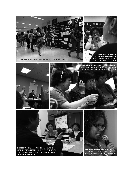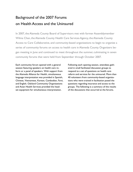# Background of the 2007 Forums on Health Access and the Uninsured

In 2007, the Alameda County Board of Supervisors met with former Assemblymember Wilma Chan, the Alameda County Health Care Services Agency, the Alameda County Access to Care Collaborative, and community-based organizations to begin to organize a series of community forums on access to health care in Alameda County. Organizers began meeting in June and continued to meet throughout the summer, culminating in seven community forums that were held from September through October 2007.

Each community forum opened with a general session featuring speakers on health care reform or a panel of speakers. With support from the Alameda Alliance for Health, simultaneous language interpretation was provided in Spanish, Chinese, Vietnamese, Korean, Cambodian, Farsi, and English. Oakland Community Organizations and Asian Health Services provided the headset equipment for simultaneous interpretation.

Following each opening session, attendees gathered in small facilitated discussion groups to respond to a set of questions on health care reform and services for the uninsured. More than 40 volunteers from community-based organizations who were trained in facilitation posed the questions regarding insurance and access to the groups. The following is a summary of the results of the discussions that occurred at the forums.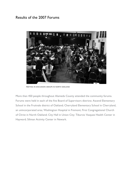## Results of the 2007 Forums

![](_page_9_Picture_1.jpeg)

Meeting in discussion groups in North Oakland

More than 450 people throughout Alameda County attended the community forums. Forums were held in each of the five Board of Supervisors districts: Ascend Elementary School in the Fruitvale district of Oakland; Cherryland Elementary School in Cherryland, an unincorporated area; Washington Hospital in Fremont; First Congregational Church of Christ in North Oakland; City Hall in Union City; Tiburcio Vasquez Health Center in Hayward; Siliman Activity Center in Newark.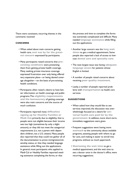There were consistent, recurring themes in the comments received:

#### **Concerns**

- When asked about main concerns getting health care, **cost was by far the greatest concern** expressed by participants.
- Many participants raised concerns that **preexisting conditions** were preventing them from getting private health coverage. Many seeking private insurance coverage expressed frustration over only being offered very expensive plans—or being denied coverage altogether—on the basis of pre-existing health conditions.
- Participants often raised a desire to have better information on health coverage and public programs. The **eligibility requirements and the bureaucracy** of getting coverage were also main concerns and the source of much confusion.
- Participants reported many **difficulties signing up for Healthy Families or Medi-Cal**, primarily due to eligibility: that is, people were not eligible because their income was too high (sometimes by only a slight amount), or they did not meet the categorical requirements (i.e. not a parent with dependent children, not a U.S. citizen). Many people also reported that they could not gather all of the documentation to prove immigration/citizenship status, or that they needed language assistance while filling out the applications. In general, most participants who applied to Medi-Cal or Healthy Families reported needing assistance completing the forms, or that

the process and time to complete the forms was extremely complicated and difficult. Many needed **language assistance** while filling out the applications.

- Another large concern was the **long wait times** to get a medical appointment. Some people also reported a lack of access to lowcost **dental care and specialty care**.
- The next largest issue was having **adequate language access** for patients whose English is limited.
- A number of people raised concerns about receiving **poor quality treatment**.
- Lastly, a number of people reported problems with **transportation** to health care services.

#### **Suggestions**

- When asked how they would like to see services improved, the discussion was overwhelmingly focused on a desire for **universal health care paid for by the government.** In addition, more short-term, immediate suggestions were given.
- Frequent suggestions were: having more **outreach** to the community about available programs, assisting people with where to go for care, and making it easier to enroll into programs, without so much paperwork.
- **Shortening the wait time** to get a medical appointment, and the wait time to see a doctor once in the doctor's office, were recurring suggestions.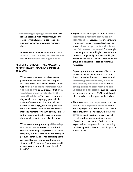- **Improving language access** at the clinics and hospitals with interpreters, and the desire for translation of prescriptions and outreach pamphlets was raised numerous times.
- Also requested multiple times were: **more access to dental care, transit vouchers**, and **weekend and night hours**.

#### **Response to Recent Proposals to Reform Health Care and Improve Services**

- When asked their opinions about recent proposals to mandate individuals to purchase insurance, most people either said this was **not fair because insurance was too expensive** to purchase, or that **they would purchase it voluntarily if it was affordable.**When asked how much they would be willing to pay, people had a variety of answers but all expressed a willingness to pay, ranging from \$15-\$100 each month. Many said that if lawmakers pass an individual mandate for health coverage similar to the requirement to have car insurance, there would need to be a sliding-fee scale.
- When asked about presenting **citizenship documentation** to receive subsidized services, most people expressed a dislike for this policy, but were accustomed to having to produce identification when accessing health services. However as one health care provider stated, "As a nurse, I'm not comfortable denying care to anyone because they don't have ID."
- Regarding recent proposals to offer **health insurance premium discounts or incentives** to encourage healthy behaviors (i.e. quitting smoking, fitness), feedback was mixed. **Many people believed this was not fair across the board.** For example, some people supported higher premiums for smokers, but generally most opposed higher premiums for less "fit" people, because as one group said "Fitness is related to [financial] resources."
- Regarding any future expansion of health care services to serve the uninsured, the most discussion and enthusiasm occurred around **increasing drop-in hours, weekend and evening hours at clinics**, and **locating clinics at sites that are convenient and accessible,** such as schools, senior centers, and near BART. Retail-based clinics received both support and criticism.
- There was **positive response** to the concept of a **1-800 phone number** for uninsured people to call for medical advice and health insurance information, with **several caveats**: short wait times if being placed on hold, no busy tones, multiple languages offered, and coordination of referrals to a larger health care system that has the ability to follow up with callers and their long-term medical needs.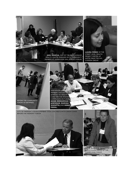![](_page_12_Picture_0.jpeg)

**Joel Garcia,** CEO of Tiburcio Vasquez Health Center engages with community members at Supervisor Gail Steele's forum.

**Laura Perez** of the Street Level Health PROJECT WRITES UP notes from the discussion group.

![](_page_12_Picture_3.jpeg)

Discussion group members discuss the barriers to health care for the Afghan community. Pictured: **Noor Mohammad Jawshan**, **Hamida Ashufta**, and **Rona Popal.**

City of Fremont Councilmember Steve Cho meets with Sarah Chan before the Fremont forum

![](_page_12_Picture_6.jpeg)

![](_page_12_Picture_7.jpeg)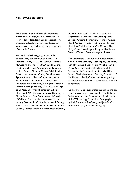#### **Acknowledgements**

The Alameda County Board of Supervisors wishes to thank everyone who attended the forums. Your ideas, feedback, and critical comments are valuable to us as we endeavor to increase access to health care for all residents of Alameda County.

We thank the following organizations for co-sponsoring the community forums: the Alameda County Access to Care Collaborative, Alameda Alliance for Health, Alameda County Health Care Services Agency, Alameda County Medical Center, Alameda County Public Health Department, Alameda County Social Services Agency, Alameda Health Consortium, Asian Health Services, Asian Immigrant Women Advocates, Bay Area Immigrant Rights Coalition, California Immigrant Policy Center, Centro Legal de La Raza, Cherryland Elementary School, Cherryland PTA, Citizens for Better Community, City of Fremont, First Congregational Church of Oakland, Fruitvale Merchants' Association, Healthy Oakland, La Clinica de La Raza, LifeLong Medical Care, Lucha Unida Del Jornalero, Mujeres Unidas y Activas, Native American Health Center, Newark City Council, Oakland Community Organizations, Schuman-Liles Clinic, Spanish Speaking Citizens' Foundation, Tiburcio Vasquez Health Center, Tri-City Health Center, Tri-City Homeless Coalition, Union City Council, The Unity Council, Washington Hospital Healthcare System, Women's Economic Agenda Project.

The Supervisors thank our staff: Ruben Briones, Amy de Reyes, Jean Fong, Seth Kaplan, Lee Perez, Josh Thurman and Lucy Wicks. We also thank: Wilma Chan for initiating the planning of the forums; Luella Penserga, Leah Stevralia, Hilda Ochoa, Elizabeth Ante and Darouny Somsanith of the Alameda Health Consortium for organizing the forums with the Board of Supervisors and the co-sponsors.

Funding and in-kind support for the forums and this report was generously provided by: The California Endowment, and the Community Voices Initiative of the W.K. Kellogg Foundation. Photography by: Rick Rocamora, Ben Wang, and Jennifer Co. Graphic design by: Christine Wong Yap.